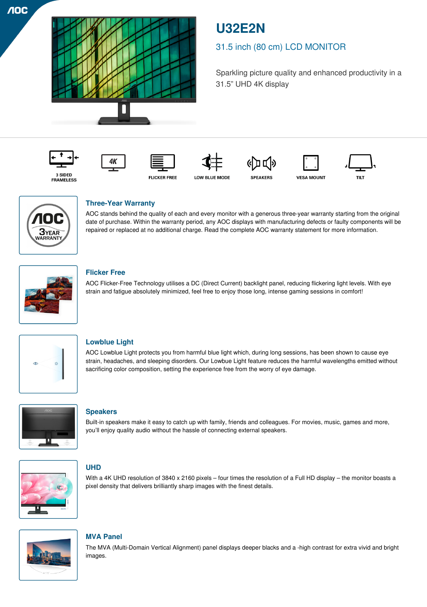

# **U32E2N**

## 31.5 inch (80 cm) LCD MONITOR

Sparkling picture quality and enhanced productivity in a 31.5" UHD 4K display

















## **Three-Year Warranty**

AOC stands behind the quality of each and every monitor with a generous three-year warranty starting from the original date of purchase. Within the warranty period, any AOC displays with manufacturing defects or faulty components will be repaired or replaced at no additional charge. Read the complete AOC warranty statement for more information.



## **Flicker Free**

AOC Flicker-Free Technology utilises a DC (Direct Current) backlight panel, reducing flickering light levels. With eye strain and fatigue absolutely minimized, feel free to enjoy those long, intense gaming sessions in comfort!



## **Lowblue Light**

AOC Lowblue Light protects you from harmful blue light which, during long sessions, has been shown to cause eye strain, headaches, and sleeping disorders. Our Lowbue Light feature reduces the harmful wavelengths emitted without sacrificing color composition, setting the experience free from the worry of eye damage.



#### **Speakers**

Built-in speakers make it easy to catch up with family, friends and colleagues. For movies, music, games and more, you'll enjoy quality audio without the hassle of connecting external speakers.



## **UHD**

With a 4K UHD resolution of 3840 x 2160 pixels – four times the resolution of a Full HD display – the monitor boasts a pixel density that delivers brilliantly sharp images with the finest details.



## **MVA Panel**

The MVA (Multi-Domain Vertical Alignment) panel displays deeper blacks and a -high contrast for extra vivid and bright images.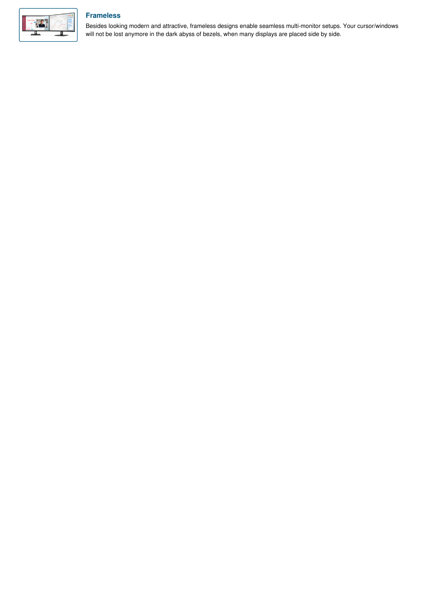## **Frameless**



Besides looking modern and attractive, frameless designs enable seamless multi-monitor setups. Your cursor/windows will not be lost anymore in the dark abyss of bezels, when many displays are placed side by side.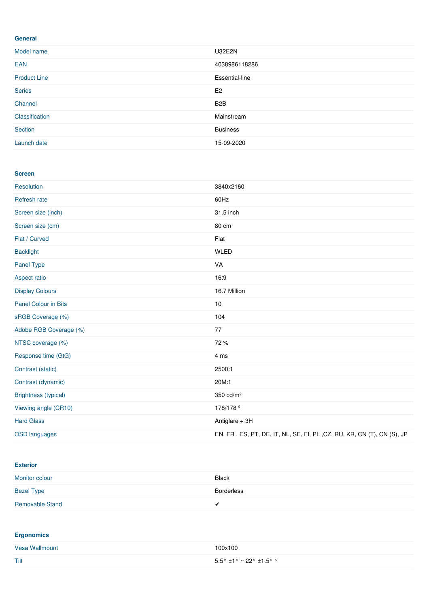#### **General**

| Model name          | <b>U32E2N</b>    |
|---------------------|------------------|
| EAN                 | 4038986118286    |
| <b>Product Line</b> | Essential-line   |
| <b>Series</b>       | E <sub>2</sub>   |
| Channel             | B <sub>2</sub> B |
| Classification      | Mainstream       |
| Section             | <b>Business</b>  |
| Launch date         | 15-09-2020       |

#### **Screen**

| Resolution                  | 3840x2160                                                              |
|-----------------------------|------------------------------------------------------------------------|
| Refresh rate                | 60Hz                                                                   |
| Screen size (inch)          | 31.5 inch                                                              |
| Screen size (cm)            | 80 cm                                                                  |
| Flat / Curved               | Flat                                                                   |
| <b>Backlight</b>            | <b>WLED</b>                                                            |
| Panel Type                  | VA                                                                     |
| Aspect ratio                | 16:9                                                                   |
| <b>Display Colours</b>      | 16.7 Million                                                           |
| <b>Panel Colour in Bits</b> | $10$                                                                   |
| sRGB Coverage (%)           | 104                                                                    |
| Adobe RGB Coverage (%)      | 77                                                                     |
| NTSC coverage (%)           | 72 %                                                                   |
| Response time (GtG)         | 4 ms                                                                   |
| Contrast (static)           | 2500:1                                                                 |
| Contrast (dynamic)          | 20M:1                                                                  |
| <b>Brightness (typical)</b> | 350 cd/m <sup>2</sup>                                                  |
| Viewing angle (CR10)        | 178/178 <sup>o</sup>                                                   |
| <b>Hard Glass</b>           | Antiglare + 3H                                                         |
| <b>OSD languages</b>        | EN, FR, ES, PT, DE, IT, NL, SE, FI, PL, CZ, RU, KR, CN (T), CN (S), JP |

**Exterior**

| Monitor colour         | <b>Black</b>      |
|------------------------|-------------------|
| <b>Bezel Type</b>      | <b>Borderless</b> |
| <b>Removable Stand</b> |                   |

#### **Ergonomics**

| Vesa Wallmount | 100x100                                                                |
|----------------|------------------------------------------------------------------------|
| Tilt           | $5.5^{\circ}$ ±1 $^{\circ}$ ~ 22 $^{\circ}$ ±1.5 $^{\circ}$ $^{\circ}$ |